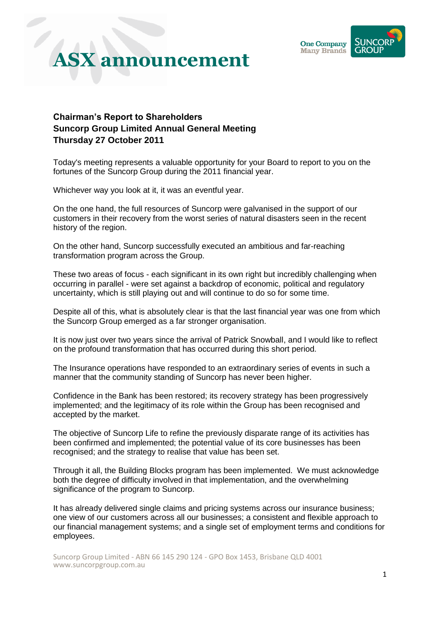

#### **Chairman's Report to Shareholders Suncorp Group Limited Annual General Meeting Thursday 27 October 2011**

Today's meeting represents a valuable opportunity for your Board to report to you on the fortunes of the Suncorp Group during the 2011 financial year.

Whichever way you look at it, it was an eventful year.

On the one hand, the full resources of Suncorp were galvanised in the support of our customers in their recovery from the worst series of natural disasters seen in the recent history of the region.

On the other hand, Suncorp successfully executed an ambitious and far-reaching transformation program across the Group.

These two areas of focus - each significant in its own right but incredibly challenging when occurring in parallel - were set against a backdrop of economic, political and regulatory uncertainty, which is still playing out and will continue to do so for some time.

Despite all of this, what is absolutely clear is that the last financial year was one from which the Suncorp Group emerged as a far stronger organisation.

It is now just over two years since the arrival of Patrick Snowball, and I would like to reflect on the profound transformation that has occurred during this short period.

The Insurance operations have responded to an extraordinary series of events in such a manner that the community standing of Suncorp has never been higher.

Confidence in the Bank has been restored; its recovery strategy has been progressively implemented; and the legitimacy of its role within the Group has been recognised and accepted by the market.

The objective of Suncorp Life to refine the previously disparate range of its activities has been confirmed and implemented; the potential value of its core businesses has been recognised; and the strategy to realise that value has been set.

Through it all, the Building Blocks program has been implemented. We must acknowledge both the degree of difficulty involved in that implementation, and the overwhelming significance of the program to Suncorp.

It has already delivered single claims and pricing systems across our insurance business; one view of our customers across all our businesses; a consistent and flexible approach to our financial management systems; and a single set of employment terms and conditions for employees.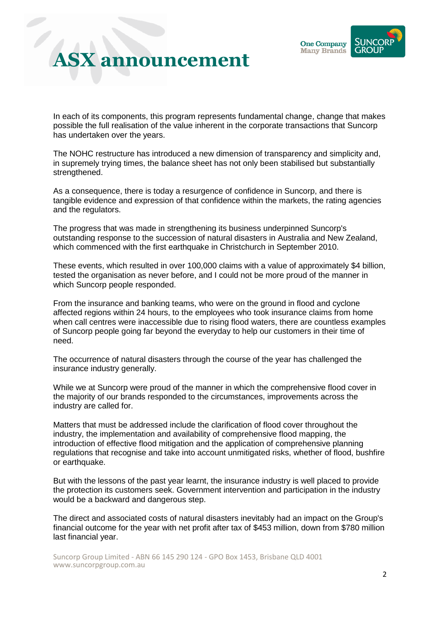

In each of its components, this program represents fundamental change, change that makes possible the full realisation of the value inherent in the corporate transactions that Suncorp has undertaken over the years.

The NOHC restructure has introduced a new dimension of transparency and simplicity and, in supremely trying times, the balance sheet has not only been stabilised but substantially strengthened.

As a consequence, there is today a resurgence of confidence in Suncorp, and there is tangible evidence and expression of that confidence within the markets, the rating agencies and the regulators.

The progress that was made in strengthening its business underpinned Suncorp's outstanding response to the succession of natural disasters in Australia and New Zealand, which commenced with the first earthquake in Christchurch in September 2010.

These events, which resulted in over 100,000 claims with a value of approximately \$4 billion, tested the organisation as never before, and I could not be more proud of the manner in which Suncorp people responded.

From the insurance and banking teams, who were on the ground in flood and cyclone affected regions within 24 hours, to the employees who took insurance claims from home when call centres were inaccessible due to rising flood waters, there are countless examples of Suncorp people going far beyond the everyday to help our customers in their time of need.

The occurrence of natural disasters through the course of the year has challenged the insurance industry generally.

While we at Suncorp were proud of the manner in which the comprehensive flood cover in the majority of our brands responded to the circumstances, improvements across the industry are called for.

Matters that must be addressed include the clarification of flood cover throughout the industry, the implementation and availability of comprehensive flood mapping, the introduction of effective flood mitigation and the application of comprehensive planning regulations that recognise and take into account unmitigated risks, whether of flood, bushfire or earthquake.

But with the lessons of the past year learnt, the insurance industry is well placed to provide the protection its customers seek. Government intervention and participation in the industry would be a backward and dangerous step.

The direct and associated costs of natural disasters inevitably had an impact on the Group's financial outcome for the year with net profit after tax of \$453 million, down from \$780 million last financial year.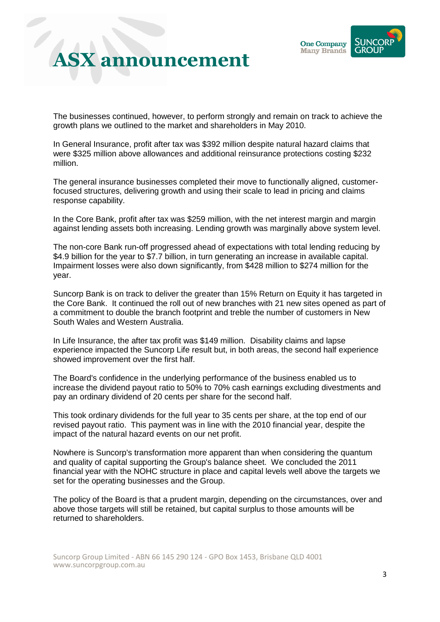

The businesses continued, however, to perform strongly and remain on track to achieve the growth plans we outlined to the market and shareholders in May 2010.

In General Insurance, profit after tax was \$392 million despite natural hazard claims that were \$325 million above allowances and additional reinsurance protections costing \$232 million.

The general insurance businesses completed their move to functionally aligned, customerfocused structures, delivering growth and using their scale to lead in pricing and claims response capability.

In the Core Bank, profit after tax was \$259 million, with the net interest margin and margin against lending assets both increasing. Lending growth was marginally above system level.

The non-core Bank run-off progressed ahead of expectations with total lending reducing by \$4.9 billion for the year to \$7.7 billion, in turn generating an increase in available capital. Impairment losses were also down significantly, from \$428 million to \$274 million for the year.

Suncorp Bank is on track to deliver the greater than 15% Return on Equity it has targeted in the Core Bank. It continued the roll out of new branches with 21 new sites opened as part of a commitment to double the branch footprint and treble the number of customers in New South Wales and Western Australia.

In Life Insurance, the after tax profit was \$149 million. Disability claims and lapse experience impacted the Suncorp Life result but, in both areas, the second half experience showed improvement over the first half.

The Board's confidence in the underlying performance of the business enabled us to increase the dividend payout ratio to 50% to 70% cash earnings excluding divestments and pay an ordinary dividend of 20 cents per share for the second half.

This took ordinary dividends for the full year to 35 cents per share, at the top end of our revised payout ratio. This payment was in line with the 2010 financial year, despite the impact of the natural hazard events on our net profit.

Nowhere is Suncorp's transformation more apparent than when considering the quantum and quality of capital supporting the Group's balance sheet. We concluded the 2011 financial year with the NOHC structure in place and capital levels well above the targets we set for the operating businesses and the Group.

The policy of the Board is that a prudent margin, depending on the circumstances, over and above those targets will still be retained, but capital surplus to those amounts will be returned to shareholders.

Suncorp Group Limited - ABN 66 145 290 124 - GPO Box 1453, Brisbane QLD 4001 www.suncorpgroup.com.au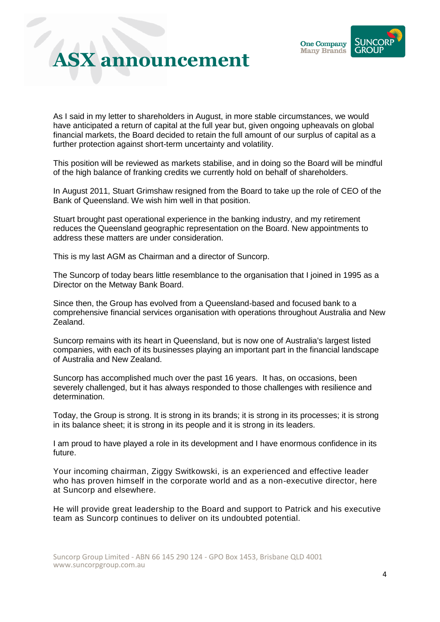

As I said in my letter to shareholders in August, in more stable circumstances, we would have anticipated a return of capital at the full year but, given ongoing upheavals on global financial markets, the Board decided to retain the full amount of our surplus of capital as a further protection against short-term uncertainty and volatility.

This position will be reviewed as markets stabilise, and in doing so the Board will be mindful of the high balance of franking credits we currently hold on behalf of shareholders.

In August 2011, Stuart Grimshaw resigned from the Board to take up the role of CEO of the Bank of Queensland. We wish him well in that position.

Stuart brought past operational experience in the banking industry, and my retirement reduces the Queensland geographic representation on the Board. New appointments to address these matters are under consideration.

This is my last AGM as Chairman and a director of Suncorp.

The Suncorp of today bears little resemblance to the organisation that I joined in 1995 as a Director on the Metway Bank Board.

Since then, the Group has evolved from a Queensland-based and focused bank to a comprehensive financial services organisation with operations throughout Australia and New Zealand.

Suncorp remains with its heart in Queensland, but is now one of Australia's largest listed companies, with each of its businesses playing an important part in the financial landscape of Australia and New Zealand.

Suncorp has accomplished much over the past 16 years. It has, on occasions, been severely challenged, but it has always responded to those challenges with resilience and determination.

Today, the Group is strong. It is strong in its brands; it is strong in its processes; it is strong in its balance sheet; it is strong in its people and it is strong in its leaders.

I am proud to have played a role in its development and I have enormous confidence in its future.

Your incoming chairman, Ziggy Switkowski, is an experienced and effective leader who has proven himself in the corporate world and as a non-executive director, here at Suncorp and elsewhere.

He will provide great leadership to the Board and support to Patrick and his executive team as Suncorp continues to deliver on its undoubted potential.